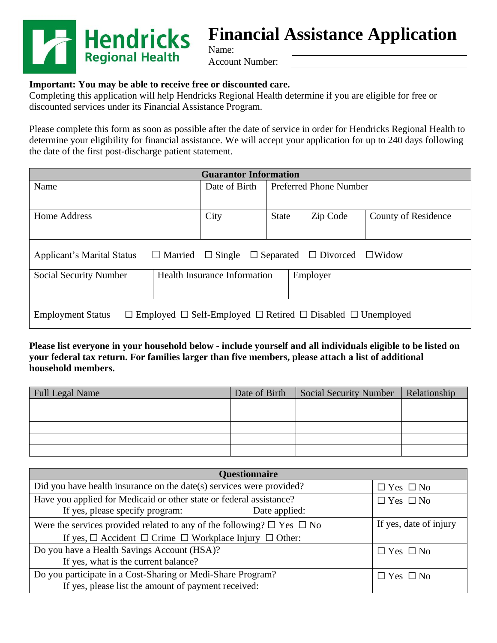

# **Financial Assistance Application**

Account Number:

#### **Important: You may be able to receive free or discounted care.**

Completing this application will help Hendricks Regional Health determine if you are eligible for free or discounted services under its Financial Assistance Program.

Name:

Please complete this form as soon as possible after the date of service in order for Hendricks Regional Health to determine your eligibility for financial assistance. We will accept your application for up to 240 days following the date of the first post-discharge patient statement.

| <b>Guarantor Information</b>                                                                                          |                                     |               |              |                               |          |                            |
|-----------------------------------------------------------------------------------------------------------------------|-------------------------------------|---------------|--------------|-------------------------------|----------|----------------------------|
| Name                                                                                                                  |                                     | Date of Birth |              | <b>Preferred Phone Number</b> |          |                            |
|                                                                                                                       |                                     |               |              |                               |          |                            |
| Home Address                                                                                                          |                                     | City          | <b>State</b> |                               | Zip Code | <b>County of Residence</b> |
|                                                                                                                       |                                     |               |              |                               |          |                            |
| <b>Applicant's Marital Status</b><br>$\Box$ Single<br>$\Box$ Separated $\Box$ Divorced $\Box$ Widow<br>$\Box$ Married |                                     |               |              |                               |          |                            |
| <b>Social Security Number</b>                                                                                         | <b>Health Insurance Information</b> |               |              | Employer                      |          |                            |
| $\Box$ Employed $\Box$ Self-Employed $\Box$ Retired $\Box$ Disabled $\Box$ Unemployed<br><b>Employment Status</b>     |                                     |               |              |                               |          |                            |

**Please list everyone in your household below - include yourself and all individuals eligible to be listed on your federal tax return. For families larger than five members, please attach a list of additional household members.**

| Full Legal Name | Date of Birth | Social Security Number | Relationship |
|-----------------|---------------|------------------------|--------------|
|                 |               |                        |              |
|                 |               |                        |              |
|                 |               |                        |              |
|                 |               |                        |              |
|                 |               |                        |              |

| <b>Questionnaire</b>                                                                                                    |                        |  |  |  |  |
|-------------------------------------------------------------------------------------------------------------------------|------------------------|--|--|--|--|
| Did you have health insurance on the date(s) services were provided?                                                    | $\Box$ Yes $\Box$ No   |  |  |  |  |
| Have you applied for Medicaid or other state or federal assistance?<br>If yes, please specify program:<br>Date applied: | $\Box$ Yes $\Box$ No   |  |  |  |  |
| Were the services provided related to any of the following? $\square$ Yes $\square$ No                                  | If yes, date of injury |  |  |  |  |
| If yes, $\Box$ Accident $\Box$ Crime $\Box$ Workplace Injury $\Box$ Other:                                              |                        |  |  |  |  |
| Do you have a Health Savings Account (HSA)?                                                                             | $\Box$ Yes $\Box$ No   |  |  |  |  |
| If yes, what is the current balance?                                                                                    |                        |  |  |  |  |
| Do you participate in a Cost-Sharing or Medi-Share Program?<br>If yes, please list the amount of payment received:      | $\Box$ Yes $\Box$ No   |  |  |  |  |